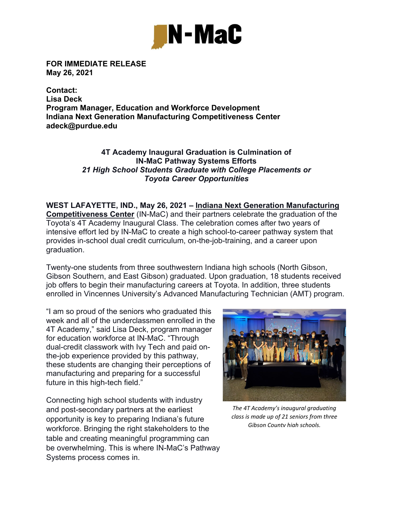

**FOR IMMEDIATE RELEASE May 26, 2021** 

**Contact: Lisa Deck Program Manager, Education and Workforce Development Indiana Next Generation Manufacturing Competitiveness Center adeck@purdue.edu** 

## **4T Academy Inaugural Graduation is Culmination of IN-MaC Pathway Systems Efforts** *21 High School Students Graduate with College Placements or Toyota Career Opportunities*

**WEST LAFAYETTE, IND., May 26, 2021 – Indiana Next Generation Manufacturing Competitiveness Center** (IN-MaC) and their partners celebrate the graduation of the Toyota's 4T Academy Inaugural Class. The celebration comes after two years of intensive effort led by IN-MaC to create a high school-to-career pathway system that provides in-school dual credit curriculum, on-the-job-training, and a career upon graduation.

Twenty-one students from three southwestern Indiana high schools (North Gibson, Gibson Southern, and East Gibson) graduated. Upon graduation, 18 students received job offers to begin their manufacturing careers at Toyota. In addition, three students enrolled in Vincennes University's Advanced Manufacturing Technician (AMT) program.

"I am so proud of the seniors who graduated this week and all of the underclassmen enrolled in the 4T Academy," said Lisa Deck, program manager for education workforce at IN-MaC. "Through dual-credit classwork with Ivy Tech and paid onthe-job experience provided by this pathway, these students are changing their perceptions of manufacturing and preparing for a successful future in this high-tech field."

Connecting high school students with industry and post-secondary partners at the earliest opportunity is key to preparing Indiana's future workforce. Bringing the right stakeholders to the table and creating meaningful programming can be overwhelming. This is where IN-MaC's Pathway Systems process comes in.



*The 4T Academy's inaugural graduating class is made up of 21 seniors from three Gibson County high schools.*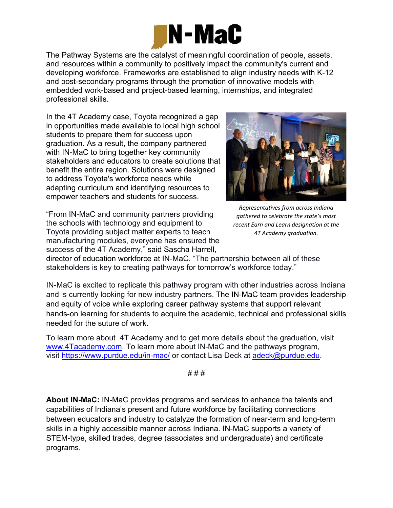

The Pathway Systems are the catalyst of meaningful coordination of people, assets, and resources within a community to positively impact the community's current and developing workforce. Frameworks are established to align industry needs with K-12 and post-secondary programs through the promotion of innovative models with embedded work-based and project-based learning, internships, and integrated professional skills.

In the 4T Academy case, Toyota recognized a gap in opportunities made available to local high school students to prepare them for success upon graduation. As a result, the company partnered with IN-MaC to bring together key community stakeholders and educators to create solutions that benefit the entire region. Solutions were designed to address Toyota's workforce needs while adapting curriculum and identifying resources to empower teachers and students for success.

"From IN-MaC and community partners providing the schools with technology and equipment to Toyota providing subject matter experts to teach manufacturing modules, everyone has ensured the success of the 4T Academy," said Sascha Harrell,



*Representatives from across Indiana gathered to celebrate the state's most recent Earn and Learn designation at the 4T Academy graduation.*

director of education workforce at IN-MaC. "The partnership between all of these stakeholders is key to creating pathways for tomorrow's workforce today."

IN-MaC is excited to replicate this pathway program with other industries across Indiana and is currently looking for new industry partners. The IN-MaC team provides leadership and equity of voice while exploring career pathway systems that support relevant hands-on learning for students to acquire the academic, technical and professional skills needed for the suture of work.

To learn more about 4T Academy and to get more details about the graduation, visit www.4Tacademy.com. To learn more about IN-MaC and the pathways program, visit https://www.purdue.edu/in-mac/ or contact Lisa Deck at adeck@purdue.edu.

# # #

**About IN-MaC:** IN-MaC provides programs and services to enhance the talents and capabilities of Indiana's present and future workforce by facilitating connections between educators and industry to catalyze the formation of near-term and long-term skills in a highly accessible manner across Indiana. IN-MaC supports a variety of STEM-type, skilled trades, degree (associates and undergraduate) and certificate programs.